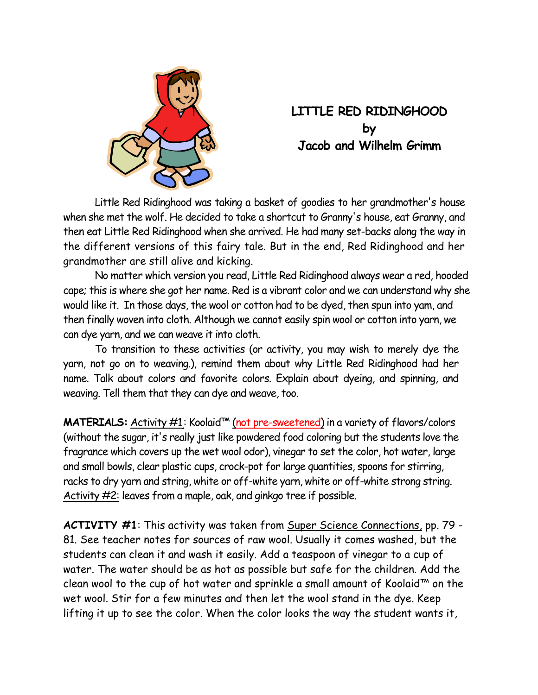

## **LITTLE RED RIDINGHOOD by Jacob and Wilhelm Grimm**

 Little Red Ridinghood was taking a basket of goodies to her grandmother's house when she met the wolf. He decided to take a shortcut to Granny's house, eat Granny, and then eat Little Red Ridinghood when she arrived. He had many set-backs along the way in the different versions of this fairy tale. But in the end, Red Ridinghood and her grandmother are still alive and kicking.

 No matter which version you read, Little Red Ridinghood always wear a red, hooded cape; this is where she got her name. Red is a vibrant color and we can understand why she would like it. In those days, the wool or cotton had to be dyed, then spun into yam, and then finally woven into cloth. Although we cannot easily spin wool or cotton into yarn, we can dye yarn, and we can weave it into cloth.

 To transition to these activities (or activity, you may wish to merely dye the yarn, not go on to weaving.), remind them about why Little Red Ridinghood had her name. Talk about colors and favorite colors. Explain about dyeing, and spinning, and weaving. Tell them that they can dye and weave, too.

**MATERIALS:** Activity #1: Koolaid™ (not pre-sweetened) in a variety of flavors/colors (without the sugar, it's really just like powdered food coloring but the students love the fragrance which covers up the wet wool odor), vinegar to set the color, hot water, large and small bowls, clear plastic cups, crock-pot for large quantities, spoons for stirring, racks to dry yarn and string, white or off-white yarn, white or off-white strong string. Activity #2: leaves from a maple, oak, and ginkgo tree if possible.

**ACTIVITY #1**: This activity was taken from Super Science Connections, pp. 79 - 81. See teacher notes for sources of raw wool. Usually it comes washed, but the students can clean it and wash it easily. Add a teaspoon of vinegar to a cup of water. The water should be as hot as possible but safe for the children. Add the clean wool to the cup of hot water and sprinkle a small amount of Koolaid™ on the wet wool. Stir for a few minutes and then let the wool stand in the dye. Keep lifting it up to see the color. When the color looks the way the student wants it,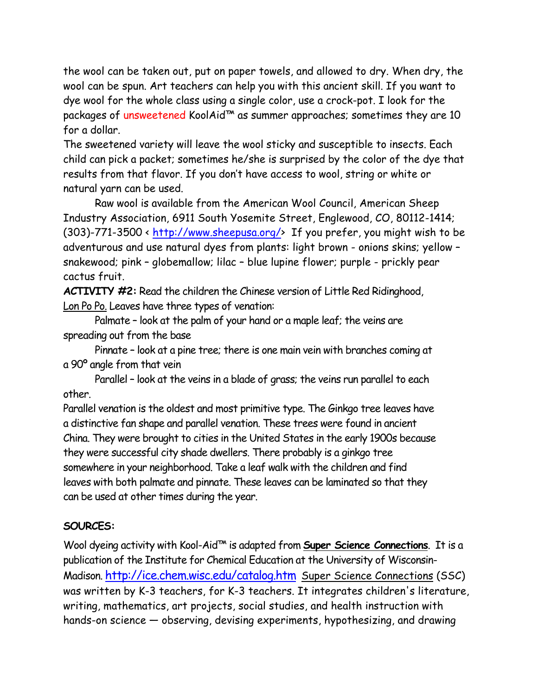the wool can be taken out, put on paper towels, and allowed to dry. When dry, the wool can be spun. Art teachers can help you with this ancient skill. If you want to dye wool for the whole class using a single color, use a crock-pot. I look for the packages of unsweetened KoolAid™ as summer approaches; sometimes they are 10 for a dollar.

The sweetened variety will leave the wool sticky and susceptible to insects. Each child can pick a packet; sometimes he/she is surprised by the color of the dye that results from that flavor. If you don't have access to wool, string or white or natural yarn can be used.

 Raw wool is available from the American Wool Council, American Sheep Industry Association, 6911 South Yosemite Street, Englewood, CO, 80112-1414; (303)-771-3500 < http://www.sheepusa.org/> If you prefer, you might wish to be adventurous and use natural dyes from plants: light brown - onions skins; yellow – snakewood; pink – globemallow; lilac – blue lupine flower; purple - prickly pear cactus fruit.

**ACTIVITY #2:** Read the children the Chinese version of Little Red Ridinghood, Lon Po Po. Leaves have three types of venation:

 Palmate – look at the palm of your hand or a maple leaf; the veins are spreading out from the base

 Pinnate – look at a pine tree; there is one main vein with branches coming at a 90º angle from that vein

 Parallel – look at the veins in a blade of grass; the veins run parallel to each other.

Parallel venation is the oldest and most primitive type. The Ginkgo tree leaves have a distinctive fan shape and parallel venation. These trees were found in ancient China. They were brought to cities in the United States in the early 1900s because they were successful city shade dwellers. There probably is a ginkgo tree somewhere in your neighborhood. Take a leaf walk with the children and find leaves with both palmate and pinnate. These leaves can be laminated so that they can be used at other times during the year.

## **SOURCES:**

Wool dyeing activity with Kool-Aid™ is adapted from **Super Science Connections**. It is a publication of the Institute for Chemical Education at the University of Wisconsin-Madison. http://ice.chem.wisc.edu/catalog.htm Super Science Connections (SSC) was written by K-3 teachers, for K-3 teachers. It integrates children's literature, writing, mathematics, art projects, social studies, and health instruction with hands-on science — observing, devising experiments, hypothesizing, and drawing